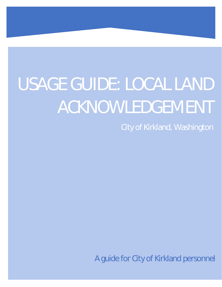# USAGE GUIDE: LOCAL LAND ACKNOWLEDGEMENT

City of Kirkland, Washington

A guide for City of Kirkland personnel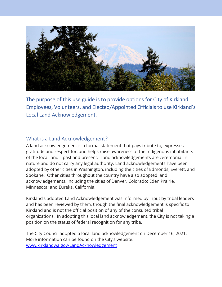

The purpose of this use guide is to provide options for City of Kirkland Employees, Volunteers, and Elected/Appointed Officials to use Kirkland's Local Land Acknowledgement.

## What is a Land Acknowledgement?

A land acknowledgement is a formal statement that pays tribute to, expresses gratitude and respect for, and helps raise awareness of the Indigenous inhabitants of the local land—past and present. Land acknowledgements are ceremonial in nature and do not carry any legal authority. Land acknowledgements have been adopted by other cities in Washington, including the cities of Edmonds, Everett, and Spokane. Other cities throughout the country have also adopted land acknowledgements, including the cities of Denver, Colorado; Eden Prairie, Minnesota; and Eureka, California.

Kirkland's adopted Land Acknowledgement was informed by input by tribal leaders and has been reviewed by them, though the final acknowledgement is specific to Kirkland and is not the official position of any of the consulted tribal organizations. In adopting this local land acknowledgement, the City is not taking a position on the status of federal recognition for any tribe.

The City Council adopted a local land acknowledgement on December 16, 2021. More information can be found on the City's website: www.kirklandwa.gov/LandAcknowledgement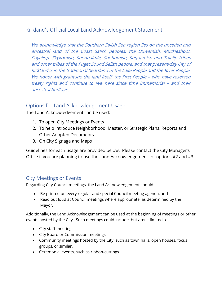# Kirkland's Official Local Land Acknowledgement Statement

We acknowledge that the Southern Salish Sea region lies on the unceded and ancestral land of the Coast Salish peoples, the Duwamish, Muckleshoot, Puyallup, Skykomish, Snoqualmie, Snohomish, Suquamish and Tulalip tribes and other tribes of the Puget Sound Salish people, and that present-day City of Kirkland is in the traditional heartland of the Lake People and the River People. We honor with gratitude the land itself, the First People - who have reserved treaty rights and continue to live here since time immemorial – and their ancestral heritage.

## Options for Land Acknowledgement Usage

The Land Acknowledgement can be used:

- 1. To open City Meetings or Events
- 2. To help introduce Neighborhood, Master, or Strategic Plans, Reports and Other Adopted Documents
- 3. On City Signage and Maps

Guidelines for each usage are provided below. Please contact the City Manager's Office if you are planning to use the Land Acknowledgement for options #2 and #3.

## City Meetings or Events

Regarding City Council meetings, the Land Acknowledgement should:

- Be printed on every regular and special Council meeting agenda, and
- Read out loud at Council meetings where appropriate, as determined by the Mayor.

Additionally, the Land Acknowledgement can be used at the beginning of meetings or other events hosted by the City. Such meetings could include, but aren't limited to:

- City staff meetings
- City Board or Commission meetings
- Community meetings hosted by the City, such as town halls, open houses, focus groups, or similar.
- Ceremonial events, such as ribbon-cuttings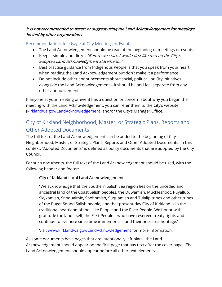## It is not recommended to assert or suggest using the Land Acknowledgement for meetings hosted by other organizations.

Recommendations for Usage at City Meetings or Events:

- The Land Acknowledgement should be read at the beginning of meetings or events.
- Keep it simple and direct: "Before we start, I would first like to read the City's adopted Land Acknowledgment statement…"
- Best practice guidance from Indigenous People is that you speak from your heart when reading the Land Acknowledgement but don't make it a performance.
- Do not include other announcements about social, political, or City initiatives alongside the Land Acknowledgement – it should be and feel separate from any other announcements.

If anyone at your meeting or event has a question or concern about why you began the meeting with the Land Acknowledgement, you can refer them to the City's website (kirklandwa.gov/LandAcknowledgement) and/or the City's Manager Office.

# City of Kirkland Neighborhood, Master, or Strategic Plans, Reports and Other Adopted Documents

The full text of the Land Acknowledgement can be added to the beginning of City Neighborhood, Master, or Strategic Plans, Reports and Other Adopted Documents. In this context, "Adopted Documents" is defined as policy documents that are adopted by the City Council.

For such documents, the full text of the Land Acknowledgement should be used, with the following header and footer:

## City of Kirkland Local Land Acknowledgement

"We acknowledge that the Southern Salish Sea region lies on the unceded and ancestral land of the Coast Salish peoples, the Duwamish, Muckleshoot, Puyallup, Skykomish, Snoqualmie, Snohomish, Suquamish and Tulalip tribes and other tribes of the Puget Sound Salish people, and that present-day City of Kirkland is in the traditional heartland of the Lake People and the River People. We honor with gratitude the land itself, the First People – who have reserved treaty rights and continue to live here since time immemorial – and their ancestral heritage."

Visit www.kirklandwa.gov/LandAcknowledgement for more information.

As some documents have pages that are intentionally left blank, the Land Acknowledgement should appear on the first page that has text after the cover page. The Land Acknowledgement should appear before all other text elements.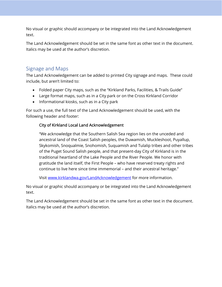No visual or graphic should accompany or be integrated into the Land Acknowledgement text.

The Land Acknowledgement should be set in the same font as other text in the document. Italics may be used at the author's discretion.

## Signage and Maps

The Land Acknowledgement can be added to printed City signage and maps. These could include, but aren't limited to:

- Folded paper City maps, such as the "Kirkland Parks, Facilities, & Trails Guide"
- Large format maps, such as in a City park or on the Cross Kirkland Corridor
- Informational kiosks, such as in a City park

For such a use, the full text of the Land Acknowledgement should be used, with the following header and footer:

## City of Kirkland Local Land Acknowledgement

"We acknowledge that the Southern Salish Sea region lies on the unceded and ancestral land of the Coast Salish peoples, the Duwamish, Muckleshoot, Puyallup, Skykomish, Snoqualmie, Snohomish, Suquamish and Tulalip tribes and other tribes of the Puget Sound Salish people, and that present-day City of Kirkland is in the traditional heartland of the Lake People and the River People. We honor with gratitude the land itself, the First People – who have reserved treaty rights and continue to live here since time immemorial – and their ancestral heritage."

Visit www.kirklandwa.gov/LandAcknowledgement for more information.

No visual or graphic should accompany or be integrated into the Land Acknowledgement text.

The Land Acknowledgement should be set in the same font as other text in the document. Italics may be used at the author's discretion.